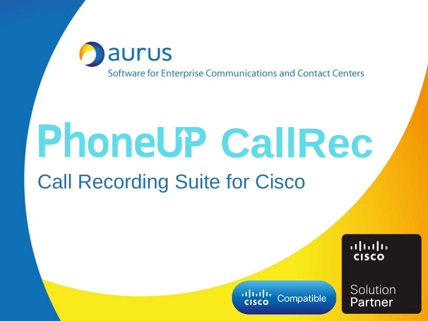

# Call Recording Suite for Cisco **PhoneUP CallRec**

ahah **CISCO** 

ahah Compatible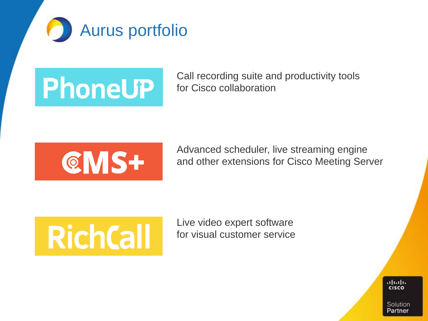Aurus portfolio

# **PhoneUP**

Call recording suite and productivity tools for Cisco collaboration



Advanced scheduler, live streaming engine and other extensions for Cisco Meeting Server



Live video expert software for visual customer service

> aludu CISCO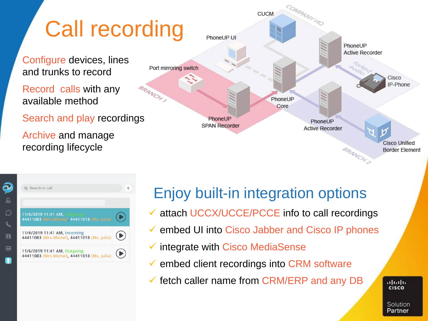

| Q Search or call                                                                          |  |
|-------------------------------------------------------------------------------------------|--|
| 11/6/2019 11:41 AM,<br>11/6/2019 11:41 AM,<br>44411083 (Mrs.Michel), 44411018 (Ms. Julia) |  |
| 11/6/2019 11:41 AM, Incoming<br>44411083 (Mrs.Michel), 44411018 (Ms. Julia)               |  |
| 11/6/2019 11:41 AM, Outgoing<br>44411083 (Mrs. Michel), 44411018 (Ms. Julia)              |  |

### Enjoy built-in integration options

- ✓ attach UCCX/UCCE/PCCE info to call recordings
- ✓ embed UI into Cisco Jabber and Cisco IP phones
- ✓ integrate with Cisco MediaSense
- ✓ embed client recordings into CRM software
- ✓ fetch caller name from CRM/ERP and any DB

aludu **CISCO**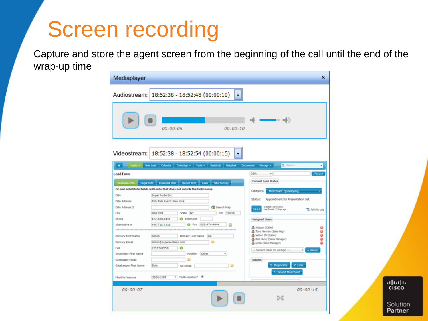## Screen recording

Capture and store the agent screen from the beginning of the call until the end of the wrap-up time



abab. **CISCO**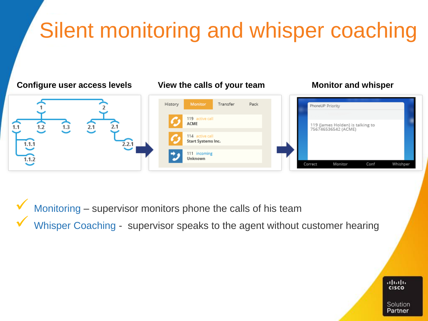## Silent monitoring and whisper coaching



Monitoring – supervisor monitors phone the calls of his team Whisper Coaching - supervisor speaks to the agent without customer hearing

**Configure user access levels View the calls of your team Monitor and whisper**

ababi **CISCO**